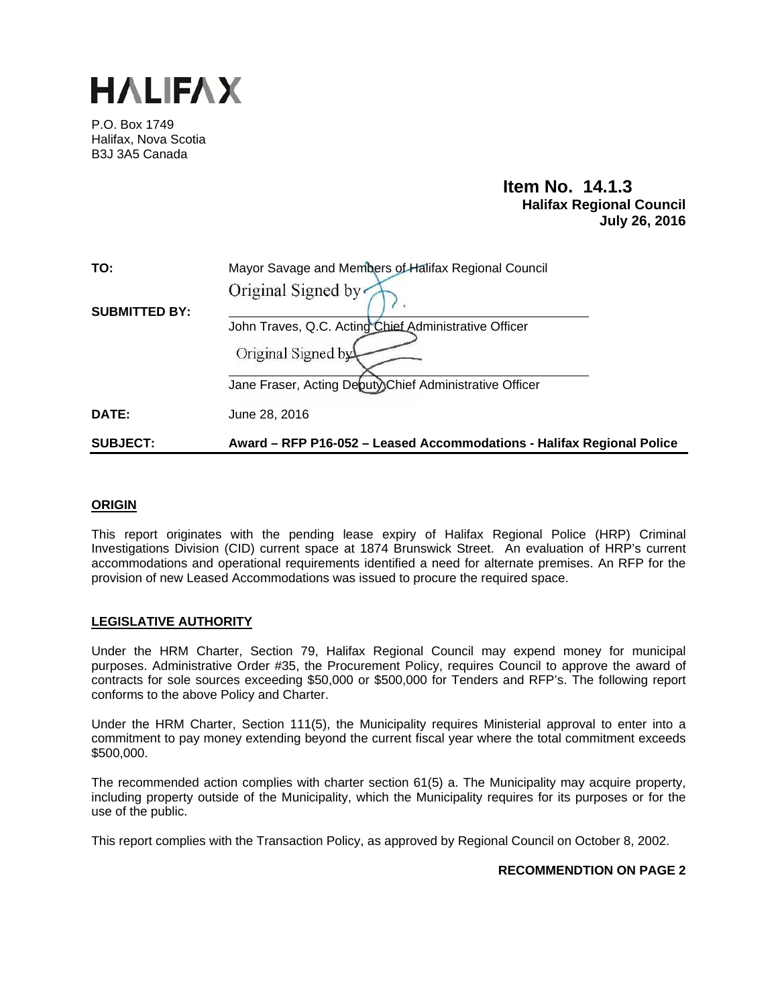

P.O. Box 1749 Halifax, Nova Scotia B3J 3A5 Canada

# **Item No. 14.1.3 Halifax Regional Council July 26, 2016**

| TO:                  | Mayor Savage and Members of Halifax Regional Council                  |  |  |  |
|----------------------|-----------------------------------------------------------------------|--|--|--|
|                      | Original Signed by                                                    |  |  |  |
| <b>SUBMITTED BY:</b> |                                                                       |  |  |  |
|                      | John Traves, Q.C. Acting Chief Administrative Officer                 |  |  |  |
|                      | Original Signed by                                                    |  |  |  |
|                      | Jane Fraser, Acting Deputy)Chief Administrative Officer               |  |  |  |
| DATE:                | June 28, 2016                                                         |  |  |  |
| <b>SUBJECT:</b>      | Award – RFP P16-052 – Leased Accommodations - Halifax Regional Police |  |  |  |

### **ORIGIN**

This report originates with the pending lease expiry of Halifax Regional Police (HRP) Criminal Investigations Division (CID) current space at 1874 Brunswick Street. An evaluation of HRP's current accommodations and operational requirements identified a need for alternate premises. An RFP for the provision of new Leased Accommodations was issued to procure the required space.

## **LEGISLATIVE AUTHORITY**

Under the HRM Charter, Section 79, Halifax Regional Council may expend money for municipal purposes. Administrative Order #35, the Procurement Policy, requires Council to approve the award of contracts for sole sources exceeding \$50,000 or \$500,000 for Tenders and RFP's. The following report conforms to the above Policy and Charter.

Under the HRM Charter, Section 111(5), the Municipality requires Ministerial approval to enter into a commitment to pay money extending beyond the current fiscal year where the total commitment exceeds \$500,000.

The recommended action complies with charter section 61(5) a. The Municipality may acquire property, including property outside of the Municipality, which the Municipality requires for its purposes or for the use of the public.

This report complies with the Transaction Policy, as approved by Regional Council on October 8, 2002.

### **RECOMMENDTION ON PAGE 2**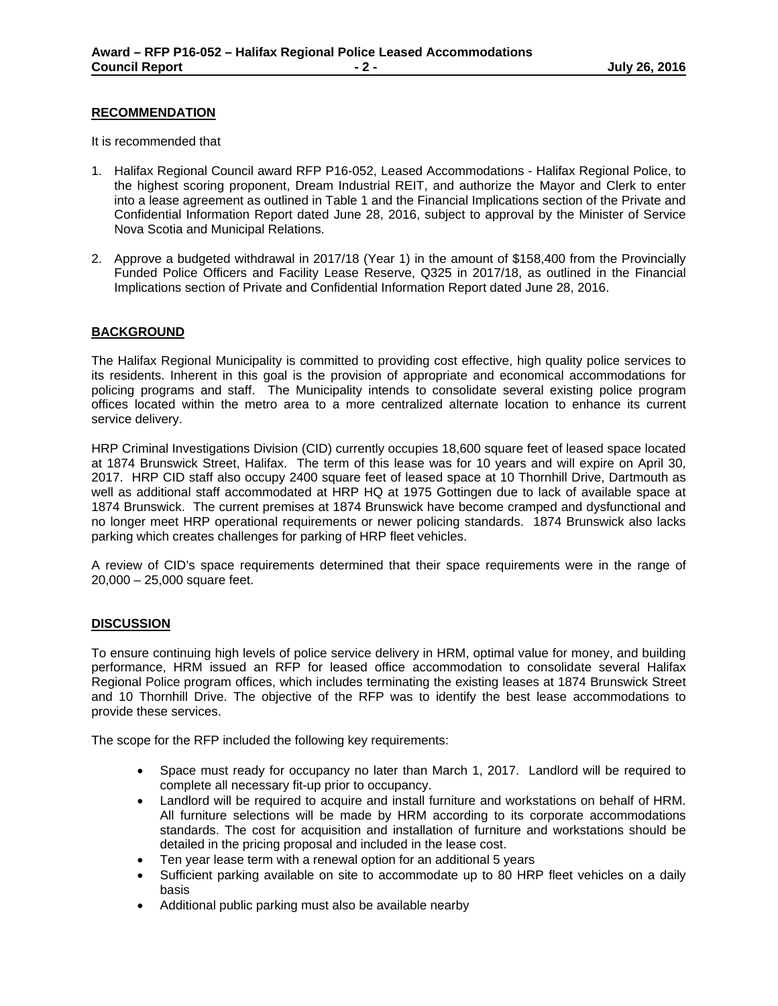### **RECOMMENDATION**

It is recommended that

- 1. Halifax Regional Council award RFP P16-052, Leased Accommodations Halifax Regional Police, to the highest scoring proponent, Dream Industrial REIT, and authorize the Mayor and Clerk to enter into a lease agreement as outlined in Table 1 and the Financial Implications section of the Private and Confidential Information Report dated June 28, 2016, subject to approval by the Minister of Service Nova Scotia and Municipal Relations.
- 2. Approve a budgeted withdrawal in 2017/18 (Year 1) in the amount of \$158,400 from the Provincially Funded Police Officers and Facility Lease Reserve, Q325 in 2017/18, as outlined in the Financial Implications section of Private and Confidential Information Report dated June 28, 2016.

### **BACKGROUND**

The Halifax Regional Municipality is committed to providing cost effective, high quality police services to its residents. Inherent in this goal is the provision of appropriate and economical accommodations for policing programs and staff. The Municipality intends to consolidate several existing police program offices located within the metro area to a more centralized alternate location to enhance its current service delivery.

HRP Criminal Investigations Division (CID) currently occupies 18,600 square feet of leased space located at 1874 Brunswick Street, Halifax. The term of this lease was for 10 years and will expire on April 30, 2017. HRP CID staff also occupy 2400 square feet of leased space at 10 Thornhill Drive, Dartmouth as well as additional staff accommodated at HRP HQ at 1975 Gottingen due to lack of available space at 1874 Brunswick. The current premises at 1874 Brunswick have become cramped and dysfunctional and no longer meet HRP operational requirements or newer policing standards. 1874 Brunswick also lacks parking which creates challenges for parking of HRP fleet vehicles.

A review of CID's space requirements determined that their space requirements were in the range of 20,000 – 25,000 square feet.

### **DISCUSSION**

To ensure continuing high levels of police service delivery in HRM, optimal value for money, and building performance, HRM issued an RFP for leased office accommodation to consolidate several Halifax Regional Police program offices, which includes terminating the existing leases at 1874 Brunswick Street and 10 Thornhill Drive. The objective of the RFP was to identify the best lease accommodations to provide these services.

The scope for the RFP included the following key requirements:

- Space must ready for occupancy no later than March 1, 2017. Landlord will be required to complete all necessary fit-up prior to occupancy.
- Landlord will be required to acquire and install furniture and workstations on behalf of HRM. All furniture selections will be made by HRM according to its corporate accommodations standards. The cost for acquisition and installation of furniture and workstations should be detailed in the pricing proposal and included in the lease cost.
- Ten year lease term with a renewal option for an additional 5 years
- Sufficient parking available on site to accommodate up to 80 HRP fleet vehicles on a daily basis
- Additional public parking must also be available nearby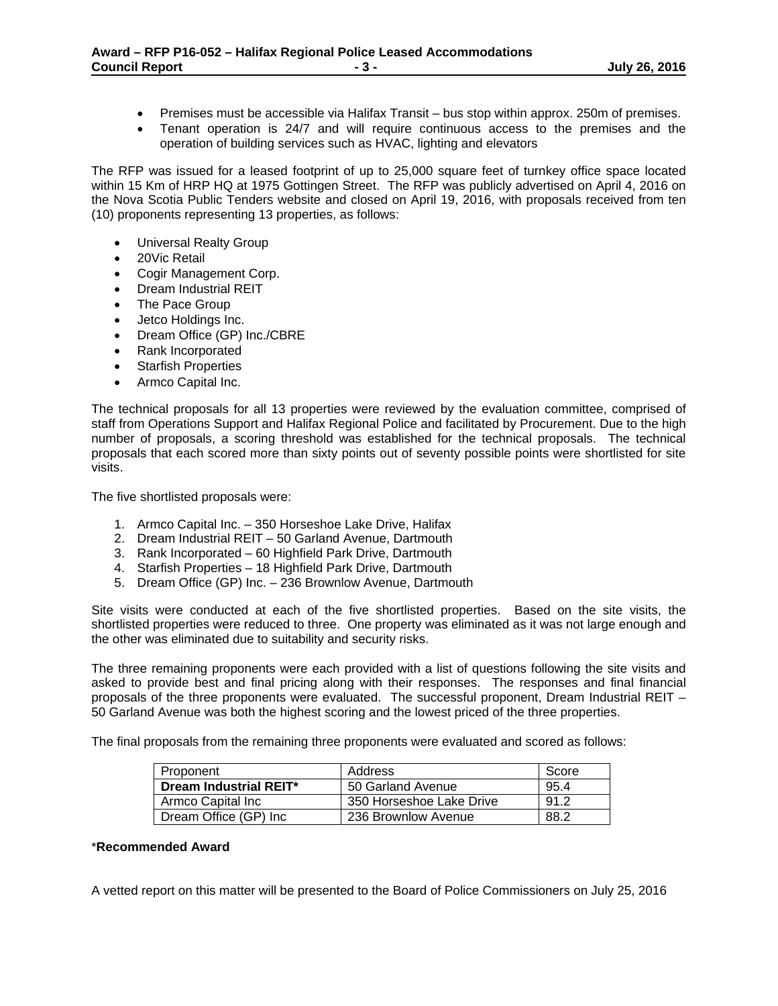- Premises must be accessible via Halifax Transit bus stop within approx. 250m of premises.
- Tenant operation is 24/7 and will require continuous access to the premises and the operation of building services such as HVAC, lighting and elevators

The RFP was issued for a leased footprint of up to 25,000 square feet of turnkey office space located within 15 Km of HRP HQ at 1975 Gottingen Street. The RFP was publicly advertised on April 4, 2016 on the Nova Scotia Public Tenders website and closed on April 19, 2016, with proposals received from ten (10) proponents representing 13 properties, as follows:

- Universal Realty Group
- 20Vic Retail
- Cogir Management Corp.
- Dream Industrial REIT
- The Pace Group
- Jetco Holdings Inc.
- Dream Office (GP) Inc./CBRE
- Rank Incorporated
- Starfish Properties
- Armco Capital Inc.

The technical proposals for all 13 properties were reviewed by the evaluation committee, comprised of staff from Operations Support and Halifax Regional Police and facilitated by Procurement. Due to the high number of proposals, a scoring threshold was established for the technical proposals. The technical proposals that each scored more than sixty points out of seventy possible points were shortlisted for site visits.

The five shortlisted proposals were:

- 1. Armco Capital Inc. 350 Horseshoe Lake Drive, Halifax
- 2. Dream Industrial REIT 50 Garland Avenue, Dartmouth
- 3. Rank Incorporated 60 Highfield Park Drive, Dartmouth
- 4. Starfish Properties 18 Highfield Park Drive, Dartmouth
- 5. Dream Office (GP) Inc. 236 Brownlow Avenue, Dartmouth

Site visits were conducted at each of the five shortlisted properties. Based on the site visits, the shortlisted properties were reduced to three. One property was eliminated as it was not large enough and the other was eliminated due to suitability and security risks.

The three remaining proponents were each provided with a list of questions following the site visits and asked to provide best and final pricing along with their responses. The responses and final financial proposals of the three proponents were evaluated. The successful proponent, Dream Industrial REIT – 50 Garland Avenue was both the highest scoring and the lowest priced of the three properties.

The final proposals from the remaining three proponents were evaluated and scored as follows:

| Proponent              | Address                  | Score |
|------------------------|--------------------------|-------|
| Dream Industrial REIT* | 50 Garland Avenue        | 95.4  |
| Armco Capital Inc      | 350 Horseshoe Lake Drive | 91.2  |
| Dream Office (GP) Inc  | 236 Brownlow Avenue      | 88.2  |

### \***Recommended Award**

A vetted report on this matter will be presented to the Board of Police Commissioners on July 25, 2016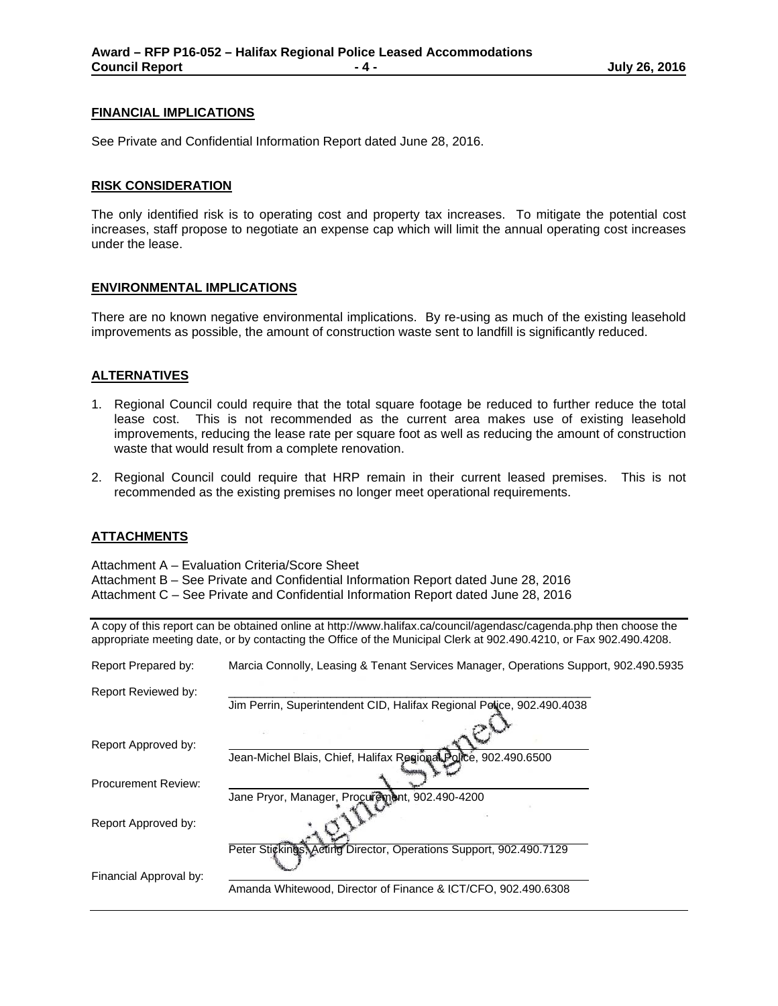#### **FINANCIAL IMPLICATIONS**

See Private and Confidential Information Report dated June 28, 2016.

#### **RISK CONSIDERATION**

The only identified risk is to operating cost and property tax increases. To mitigate the potential cost increases, staff propose to negotiate an expense cap which will limit the annual operating cost increases under the lease.

#### **ENVIRONMENTAL IMPLICATIONS**

There are no known negative environmental implications. By re-using as much of the existing leasehold improvements as possible, the amount of construction waste sent to landfill is significantly reduced.

#### **ALTERNATIVES**

- 1. Regional Council could require that the total square footage be reduced to further reduce the total lease cost. This is not recommended as the current area makes use of existing leasehold improvements, reducing the lease rate per square foot as well as reducing the amount of construction waste that would result from a complete renovation.
- 2. Regional Council could require that HRP remain in their current leased premises. This is not recommended as the existing premises no longer meet operational requirements.

#### **ATTACHMENTS**

Attachment A – Evaluation Criteria/Score Sheet

Attachment B – See Private and Confidential Information Report dated June 28, 2016 Attachment C – See Private and Confidential Information Report dated June 28, 2016

A copy of this report can be obtained online at http://www.halifax.ca/council/agendasc/cagenda.php then choose the appropriate meeting date, or by contacting the Office of the Municipal Clerk at 902.490.4210, or Fax 902.490.4208.

| Report Prepared by:        | Marcia Connolly, Leasing & Tenant Services Manager, Operations Support, 902.490.5935 |
|----------------------------|--------------------------------------------------------------------------------------|
| Report Reviewed by:        |                                                                                      |
|                            | Jim Perrin, Superintendent CID, Halifax Regional Police, 902.490.4038                |
|                            |                                                                                      |
| Report Approved by:        | Jean-Michel Blais, Chief, Halifax Regional Police, 902.490.6500                      |
| <b>Procurement Review:</b> |                                                                                      |
| Report Approved by:        | Jane Pryor, Manager, Procurement, 902.490-4200                                       |
| Financial Approval by:     | Peter Stickings, Acting Director, Operations Support, 902.490.7129                   |
|                            | Amanda Whitewood, Director of Finance & ICT/CFO, 902.490.6308                        |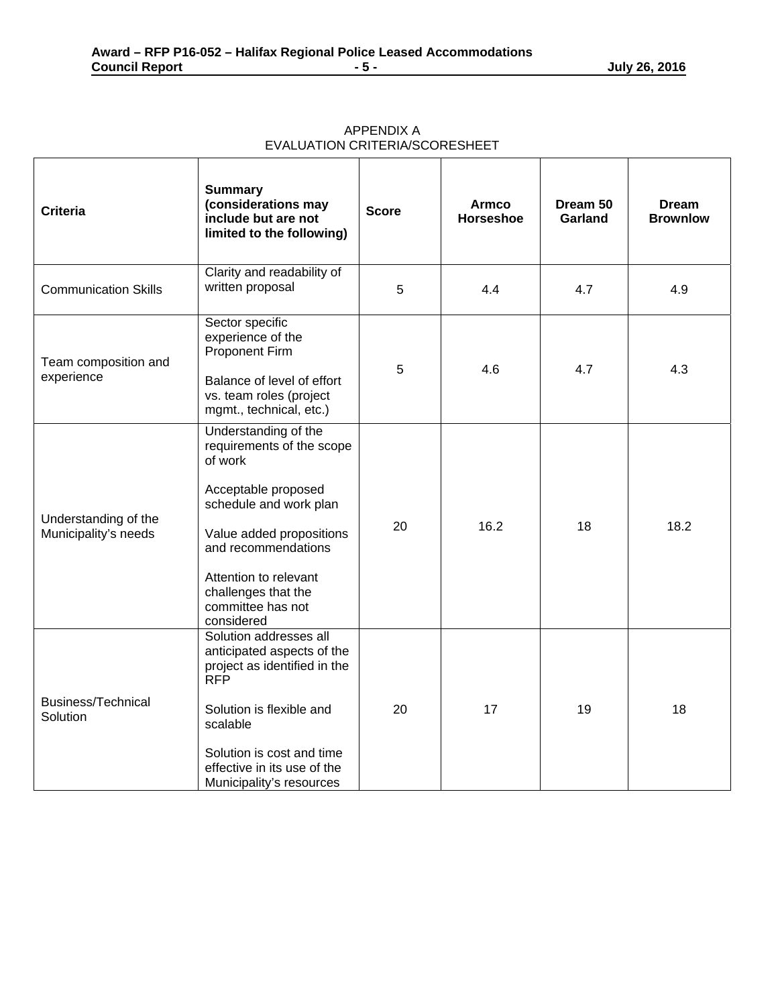| <b>Criteria</b>                              | <b>Summary</b><br>(considerations may<br>include but are not<br>limited to the following)                                                                                                                                                           | <b>Score</b> | <b>Armco</b><br><b>Horseshoe</b> | Dream 50<br>Garland | <b>Dream</b><br><b>Brownlow</b> |
|----------------------------------------------|-----------------------------------------------------------------------------------------------------------------------------------------------------------------------------------------------------------------------------------------------------|--------------|----------------------------------|---------------------|---------------------------------|
| <b>Communication Skills</b>                  | Clarity and readability of<br>written proposal                                                                                                                                                                                                      | 5            | 4.4                              | 4.7                 | 4.9                             |
| Team composition and<br>experience           | Sector specific<br>experience of the<br><b>Proponent Firm</b><br>Balance of level of effort<br>vs. team roles (project<br>mgmt., technical, etc.)                                                                                                   | 5            | 4.6                              | 4.7                 | 4.3                             |
| Understanding of the<br>Municipality's needs | Understanding of the<br>requirements of the scope<br>of work<br>Acceptable proposed<br>schedule and work plan<br>Value added propositions<br>and recommendations<br>Attention to relevant<br>challenges that the<br>committee has not<br>considered | 20           | 16.2                             | 18                  | 18.2                            |
| <b>Business/Technical</b><br>Solution        | Solution addresses all<br>anticipated aspects of the<br>project as identified in the<br><b>RFP</b><br>Solution is flexible and<br>scalable<br>Solution is cost and time<br>effective in its use of the<br>Municipality's resources                  | 20           | 17                               | 19                  | 18                              |

APPENDIX A EVALUATION CRITERIA/SCORESHEET